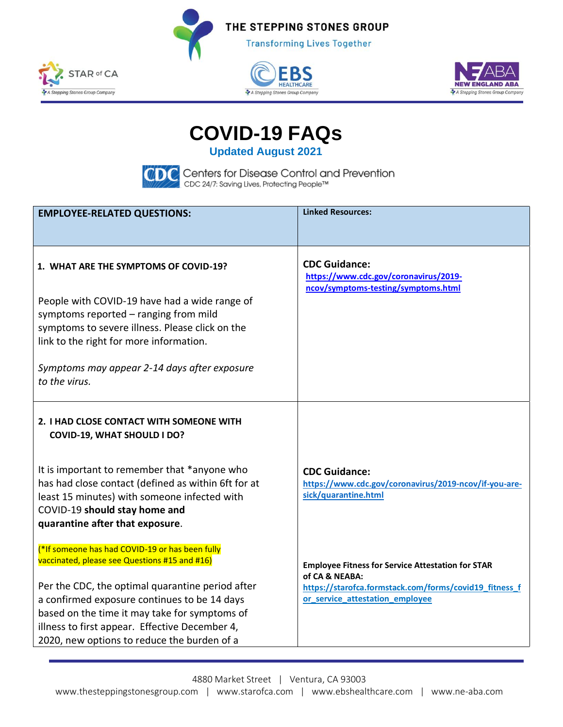







**COVID-19 FAQs** 

**Updated August 2021**



**CODE** Centers for Disease Control and Prevention<br>CDC\_CDC 24/7: Saving Lives, Protecting People™

| <b>EMPLOYEE-RELATED QUESTIONS:</b>                               | <b>Linked Resources:</b>                                                     |
|------------------------------------------------------------------|------------------------------------------------------------------------------|
|                                                                  |                                                                              |
|                                                                  |                                                                              |
| 1. WHAT ARE THE SYMPTOMS OF COVID-19?                            | <b>CDC Guidance:</b>                                                         |
|                                                                  | https://www.cdc.gov/coronavirus/2019-<br>ncov/symptoms-testing/symptoms.html |
| People with COVID-19 have had a wide range of                    |                                                                              |
| symptoms reported - ranging from mild                            |                                                                              |
| symptoms to severe illness. Please click on the                  |                                                                              |
| link to the right for more information.                          |                                                                              |
| Symptoms may appear 2-14 days after exposure                     |                                                                              |
| to the virus.                                                    |                                                                              |
|                                                                  |                                                                              |
| 2. I HAD CLOSE CONTACT WITH SOMEONE WITH                         |                                                                              |
| <b>COVID-19, WHAT SHOULD I DO?</b>                               |                                                                              |
|                                                                  |                                                                              |
| It is important to remember that *anyone who                     | <b>CDC Guidance:</b>                                                         |
| has had close contact (defined as within 6ft for at              | https://www.cdc.gov/coronavirus/2019-ncov/if-you-are-                        |
| least 15 minutes) with someone infected with                     | sick/quarantine.html                                                         |
| COVID-19 should stay home and<br>quarantine after that exposure. |                                                                              |
|                                                                  |                                                                              |
| <sup>*</sup> If someone has had COVID-19 or has been fully       |                                                                              |
| vaccinated, please see Questions #15 and #16)                    | <b>Employee Fitness for Service Attestation for STAR</b>                     |
| Per the CDC, the optimal quarantine period after                 | of CA & NEABA:<br>https://starofca.formstack.com/forms/covid19_fitness_f     |
| a confirmed exposure continues to be 14 days                     | or_service_attestation_employee                                              |
| based on the time it may take for symptoms of                    |                                                                              |
| illness to first appear. Effective December 4,                   |                                                                              |
| 2020, new options to reduce the burden of a                      |                                                                              |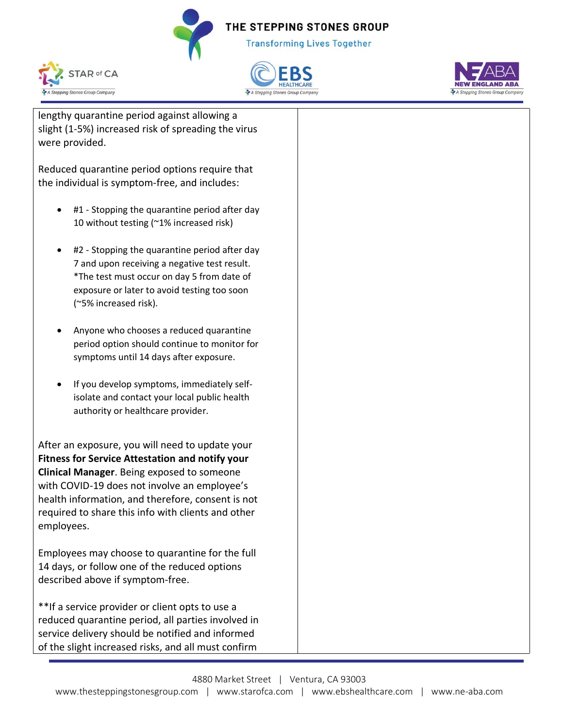**Transforming Lives Together** 







lengthy quarantine period against allowing a slight (1-5%) increased risk of spreading the virus were provided.

Reduced quarantine period options require that the individual is symptom-free, and includes:

- #1 Stopping the quarantine period after day 10 without testing (~1% increased risk)
- #2 Stopping the quarantine period after day 7 and upon receiving a negative test result. \*The test must occur on day 5 from date of exposure or later to avoid testing too soon (~5% increased risk).
- Anyone who chooses a reduced quarantine period option should continue to monitor for symptoms until 14 days after exposure.
- If you develop symptoms, immediately selfisolate and contact your local public health authority or healthcare provider.

After an exposure, you will need to update your **Fitness for Service Attestation and notify your Clinical Manager**. Being exposed to someone with COVID-19 does not involve an employee's health information, and therefore, consent is not required to share this info with clients and other employees.

Employees may choose to quarantine for the full 14 days, or follow one of the reduced options described above if symptom-free.

\*\*If a service provider or client opts to use a reduced quarantine period, all parties involved in service delivery should be notified and informed of the slight increased risks, and all must confirm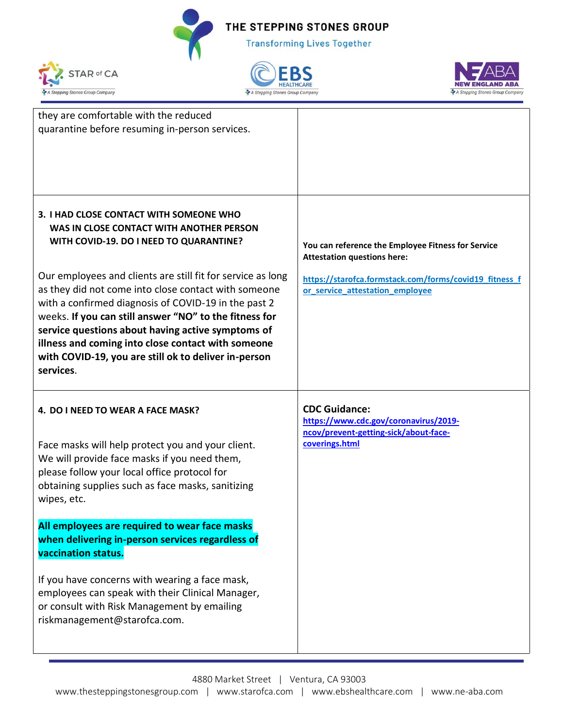





| they are comfortable with the reduced<br>quarantine before resuming in-person services.                                                                                                                                                                                                                                                                |                                                                                                                                                    |
|--------------------------------------------------------------------------------------------------------------------------------------------------------------------------------------------------------------------------------------------------------------------------------------------------------------------------------------------------------|----------------------------------------------------------------------------------------------------------------------------------------------------|
| 3. I HAD CLOSE CONTACT WITH SOMEONE WHO<br>WAS IN CLOSE CONTACT WITH ANOTHER PERSON<br>WITH COVID-19. DO I NEED TO QUARANTINE?<br>Our employees and clients are still fit for service as long                                                                                                                                                          | You can reference the Employee Fitness for Service<br><b>Attestation questions here:</b><br>https://starofca.formstack.com/forms/covid19_fitness_f |
| as they did not come into close contact with someone<br>with a confirmed diagnosis of COVID-19 in the past 2<br>weeks. If you can still answer "NO" to the fitness for<br>service questions about having active symptoms of<br>illness and coming into close contact with someone<br>with COVID-19, you are still ok to deliver in-person<br>services. | or_service_attestation_employee                                                                                                                    |
| 4. DO I NEED TO WEAR A FACE MASK?                                                                                                                                                                                                                                                                                                                      | <b>CDC Guidance:</b><br>https://www.cdc.gov/coronavirus/2019-<br>ncov/prevent-getting-sick/about-face-                                             |
| Face masks will help protect you and your client.<br>We will provide face masks if you need them,<br>please follow your local office protocol for<br>obtaining supplies such as face masks, sanitizing<br>wipes, etc.                                                                                                                                  | coverings.html                                                                                                                                     |
| All employees are required to wear face masks<br>when delivering in-person services regardless of<br>vaccination status.                                                                                                                                                                                                                               |                                                                                                                                                    |
| If you have concerns with wearing a face mask,<br>employees can speak with their Clinical Manager,<br>or consult with Risk Management by emailing<br>riskmanagement@starofca.com.                                                                                                                                                                      |                                                                                                                                                    |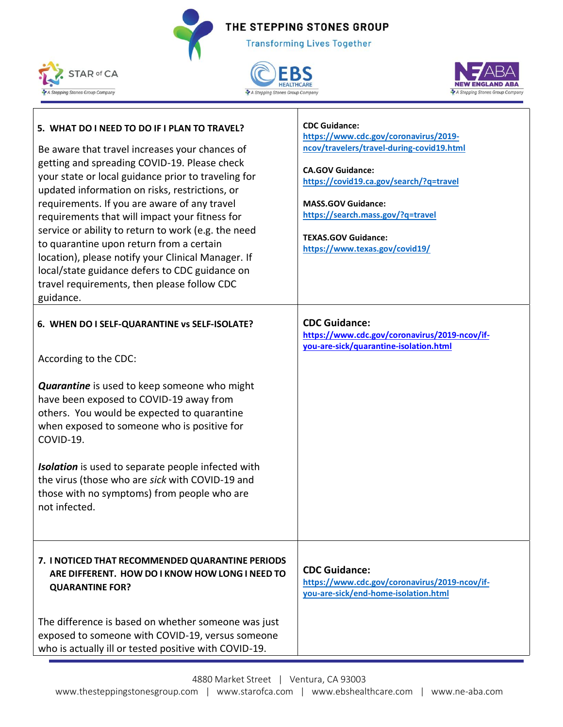**Transforming Lives Together** 







#### **5. WHAT DO I NEED TO DO IF I PLAN TO TRAVEL?** Be aware that travel increases your chances of getting and spreading COVID-19. Please check your state or local guidance prior to traveling for updated information on risks, restrictions, or requirements. If you are aware of any travel requirements that will impact your fitness for service or ability to return to work (e.g. the need to quarantine upon return from a certain location), please notify your Clinical Manager. If local/state guidance defers to CDC guidance on travel requirements, then please follow CDC guidance. **CDC Guidance: [https://www.cdc.gov/coronavirus/2019](https://www.cdc.gov/coronavirus/2019-ncov/travelers/travel-during-covid19.html) [ncov/travelers/travel-during-covid19.html](https://www.cdc.gov/coronavirus/2019-ncov/travelers/travel-during-covid19.html) CA.GOV Guidance: <https://covid19.ca.gov/search/?q=travel> MASS.GOV Guidance: <https://search.mass.gov/?q=travel> TEXAS.GOV Guidance: <https://www.texas.gov/covid19/> 6. WHEN DO I SELF-QUARANTINE vs SELF-ISOLATE?** According to the CDC: *Quarantine* is used to keep someone who might have been exposed to COVID-19 away from others. You would be expected to quarantine when exposed to someone who is positive for COVID-19. *Isolation* is used to separate people infected with the virus (those who are *sick* with COVID-19 and those with no symptoms) from people who are not infected. **CDC Guidance: [https://www.cdc.gov/coronavirus/2019-ncov/if](https://www.cdc.gov/coronavirus/2019-ncov/if-you-are-sick/quarantine-isolation.html)[you-are-sick/quarantine-isolation.html](https://www.cdc.gov/coronavirus/2019-ncov/if-you-are-sick/quarantine-isolation.html) 7. I NOTICED THAT RECOMMENDED QUARANTINE PERIODS ARE DIFFERENT. HOW DO I KNOW HOW LONG I NEED TO QUARANTINE FOR?** The difference is based on whether someone was just exposed to someone with COVID-19, versus someone who is actually ill or tested positive with COVID-19. **CDC Guidance: [https://www.cdc.gov/coronavirus/2019-ncov/if](https://www.cdc.gov/coronavirus/2019-ncov/if-you-are-sick/end-home-isolation.html)[you-are-sick/end-home-isolation.html](https://www.cdc.gov/coronavirus/2019-ncov/if-you-are-sick/end-home-isolation.html)**

4880 Market Street | Ventura, CA 93003 www.thesteppingstonesgroup.com | www.starofca.com | www.ebshealthcare.com | www.ne-aba.com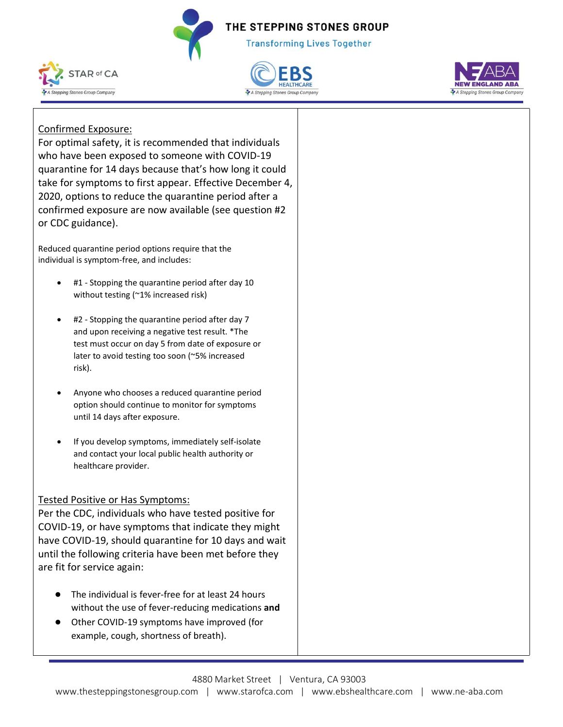**Transforming Lives Together** 







## Confirmed Exposure:

For optimal safety, it is recommended that individuals who have been exposed to someone with COVID-19 quarantine for 14 days because that's how long it could take for symptoms to first appear. Effective December 4, 2020, options to reduce the quarantine period after a confirmed exposure are now available (see question #2 or CDC guidance).

Reduced quarantine period options require that the individual is symptom-free, and includes:

- #1 Stopping the quarantine period after day 10 without testing (~1% increased risk)
- #2 Stopping the quarantine period after day 7 and upon receiving a negative test result. \*The test must occur on day 5 from date of exposure or later to avoid testing too soon (~5% increased risk).
- Anyone who chooses a reduced quarantine period option should continue to monitor for symptoms until 14 days after exposure.
- If you develop symptoms, immediately self-isolate and contact your local public health authority or healthcare provider.

### Tested Positive or Has Symptoms:

Per the CDC, individuals who have tested positive for COVID-19, or have symptoms that indicate they might have COVID-19, should quarantine for 10 days and wait until the following criteria have been met before they are fit for service again:

- The individual is fever-free for at least 24 hours without the use of fever-reducing medications **and**
- Other COVID-19 symptoms have improved (for example, cough, shortness of breath).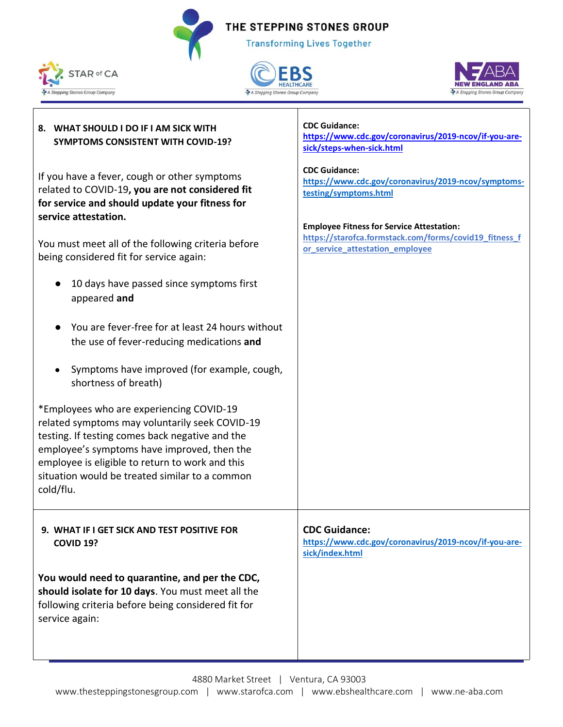**Transforming Lives Together** 

**CDC Guidance:**



**8. WHAT SHOULD I DO IF I AM SICK WITH** 





# **SYMPTOMS CONSISTENT WITH COVID-19?** If you have a fever, cough or other symptoms related to COVID-19**, you are not considered fit for service and should update your fitness for service attestation.**  You must meet all of the following criteria before being considered fit for service again: ● 10 days have passed since symptoms first appeared **and** ● You are fever-free for at least 24 hours without the use of fever-reducing medications **and** ● Symptoms have improved (for example, cough, shortness of breath) \*Employees who are experiencing COVID-19 related symptoms may voluntarily seek COVID-19 testing. If testing comes back negative and the employee's symptoms have improved, then the employee is eligible to return to work and this situation would be treated similar to a common cold/flu. **[https://www.cdc.gov/coronavirus/2019-ncov/if-you-are](https://www.cdc.gov/coronavirus/2019-ncov/if-you-are-sick/steps-when-sick.html)[sick/steps-when-sick.html](https://www.cdc.gov/coronavirus/2019-ncov/if-you-are-sick/steps-when-sick.html) CDC Guidance: [https://www.cdc.gov/coronavirus/2019-ncov/symptoms](https://www.cdc.gov/coronavirus/2019-ncov/symptoms-testing/symptoms.html)[testing/symptoms.html](https://www.cdc.gov/coronavirus/2019-ncov/symptoms-testing/symptoms.html) Employee Fitness for Service Attestation: [https://starofca.formstack.com/forms/covid19\\_fitness\\_f](https://starofca.formstack.com/forms/covid19_fitness_for_service_attestation_employee) [or\\_service\\_attestation\\_employee](https://starofca.formstack.com/forms/covid19_fitness_for_service_attestation_employee) 9. WHAT IF I GET SICK AND TEST POSITIVE FOR COVID 19? You would need to quarantine, and per the CDC, should isolate for 10 days**. You must meet all the following criteria before being considered fit for service again: **CDC Guidance: [https://www.cdc.gov/coronavirus/2019-ncov/if-you-are](https://www.cdc.gov/coronavirus/2019-ncov/if-you-are-sick/index.html)[sick/index.html](https://www.cdc.gov/coronavirus/2019-ncov/if-you-are-sick/index.html)**

4880 Market Street | Ventura, CA 93003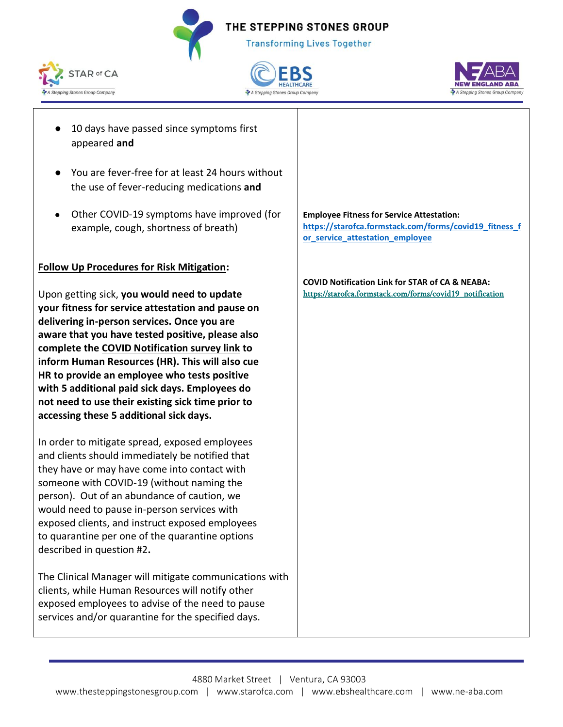**Transforming Lives Together** 







- 10 days have passed since symptoms first appeared **and**
- You are fever-free for at least 24 hours without the use of fever-reducing medications **and**
- Other COVID-19 symptoms have improved (for example, cough, shortness of breath)

#### **Follow Up Procedures for Risk Mitigation:**

Upon getting sick, **you would need to update your fitness for service attestation and pause on delivering in-person services. Once you are aware that you have tested positive, please also complete the COVID Notification survey link to inform Human Resources (HR). This will also cue HR to provide an employee who tests positive with 5 additional paid sick days. Employees do not need to use their existing sick time prior to accessing these 5 additional sick days.** 

In order to mitigate spread, exposed employees and clients should immediately be notified that they have or may have come into contact with someone with COVID-19 (without naming the person). Out of an abundance of caution, we would need to pause in-person services with exposed clients, and instruct exposed employees to quarantine per one of the quarantine options described in question #2**.** 

The Clinical Manager will mitigate communications with clients, while Human Resources will notify other exposed employees to advise of the need to pause services and/or quarantine for the specified days.

**Employee Fitness for Service Attestation: [https://starofca.formstack.com/forms/covid19\\_fitness\\_f](https://starofca.formstack.com/forms/covid19_fitness_for_service_attestation_employee) [or\\_service\\_attestation\\_employee](https://starofca.formstack.com/forms/covid19_fitness_for_service_attestation_employee)**

**COVID Notification Link for STAR of CA & NEABA:** [https://starofca.formstack.com/forms/covid19\\_notification](https://starofca.formstack.com/forms/covid19_notification)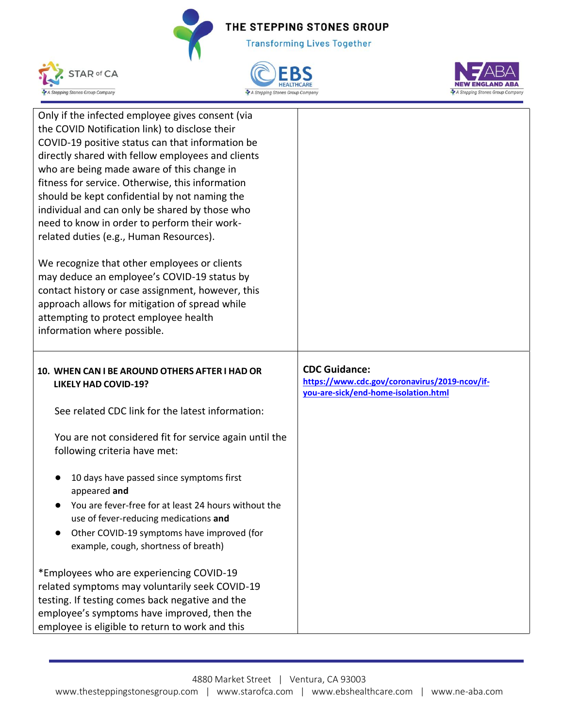





| Only if the infected employee gives consent (via<br>the COVID Notification link) to disclose their<br>COVID-19 positive status can that information be<br>directly shared with fellow employees and clients<br>who are being made aware of this change in<br>fitness for service. Otherwise, this information<br>should be kept confidential by not naming the<br>individual and can only be shared by those who<br>need to know in order to perform their work-<br>related duties (e.g., Human Resources). |                                                                                                               |
|-------------------------------------------------------------------------------------------------------------------------------------------------------------------------------------------------------------------------------------------------------------------------------------------------------------------------------------------------------------------------------------------------------------------------------------------------------------------------------------------------------------|---------------------------------------------------------------------------------------------------------------|
| We recognize that other employees or clients<br>may deduce an employee's COVID-19 status by<br>contact history or case assignment, however, this<br>approach allows for mitigation of spread while<br>attempting to protect employee health<br>information where possible.                                                                                                                                                                                                                                  |                                                                                                               |
| 10. WHEN CAN I BE AROUND OTHERS AFTER I HAD OR<br><b>LIKELY HAD COVID-19?</b>                                                                                                                                                                                                                                                                                                                                                                                                                               | <b>CDC Guidance:</b><br>https://www.cdc.gov/coronavirus/2019-ncov/if-<br>you-are-sick/end-home-isolation.html |
| See related CDC link for the latest information:                                                                                                                                                                                                                                                                                                                                                                                                                                                            |                                                                                                               |
| You are not considered fit for service again until the<br>following criteria have met:                                                                                                                                                                                                                                                                                                                                                                                                                      |                                                                                                               |
| 10 days have passed since symptoms first<br>appeared and                                                                                                                                                                                                                                                                                                                                                                                                                                                    |                                                                                                               |
| You are fever-free for at least 24 hours without the<br>use of fever-reducing medications and<br>Other COVID-19 symptoms have improved (for<br>example, cough, shortness of breath)                                                                                                                                                                                                                                                                                                                         |                                                                                                               |
| *Employees who are experiencing COVID-19<br>related symptoms may voluntarily seek COVID-19<br>testing. If testing comes back negative and the                                                                                                                                                                                                                                                                                                                                                               |                                                                                                               |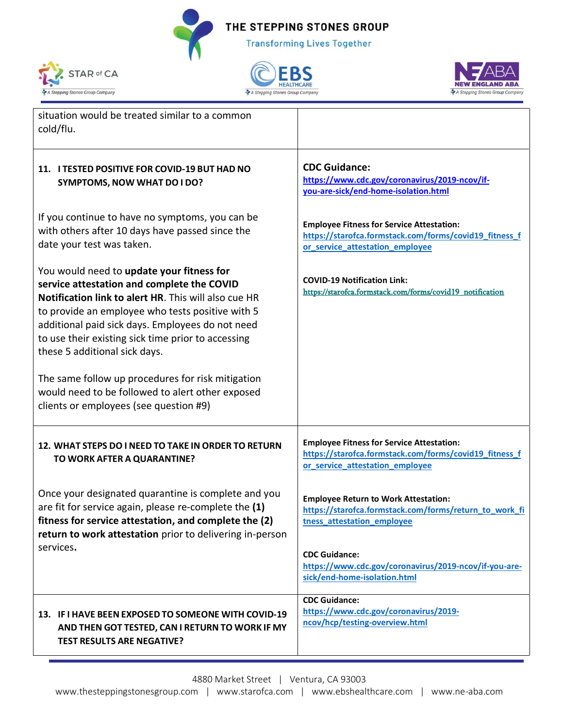**Transforming Lives Together** 







| situation would be treated similar to a common<br>cold/flu.                                                                                                                                                                                                                                                                                                                                                                                                                                       |                                                                                                                                               |
|---------------------------------------------------------------------------------------------------------------------------------------------------------------------------------------------------------------------------------------------------------------------------------------------------------------------------------------------------------------------------------------------------------------------------------------------------------------------------------------------------|-----------------------------------------------------------------------------------------------------------------------------------------------|
| 11. I TESTED POSITIVE FOR COVID-19 BUT HAD NO<br><b>SYMPTOMS, NOW WHAT DO I DO?</b>                                                                                                                                                                                                                                                                                                                                                                                                               | <b>CDC Guidance:</b><br>https://www.cdc.gov/coronavirus/2019-ncov/if-<br>you-are-sick/end-home-isolation.html                                 |
| If you continue to have no symptoms, you can be<br>with others after 10 days have passed since the<br>date your test was taken.                                                                                                                                                                                                                                                                                                                                                                   | <b>Employee Fitness for Service Attestation:</b><br>https://starofca.formstack.com/forms/covid19_fitness_f<br>or service attestation employee |
| You would need to update your fitness for<br>service attestation and complete the COVID<br>Notification link to alert HR. This will also cue HR<br>to provide an employee who tests positive with 5<br>additional paid sick days. Employees do not need<br>to use their existing sick time prior to accessing<br>these 5 additional sick days.<br>The same follow up procedures for risk mitigation<br>would need to be followed to alert other exposed<br>clients or employees (see question #9) | <b>COVID-19 Notification Link:</b><br>https://starofca.formstack.com/forms/covid19 notification                                               |
| 12. WHAT STEPS DO I NEED TO TAKE IN ORDER TO RETURN<br>TO WORK AFTER A QUARANTINE?                                                                                                                                                                                                                                                                                                                                                                                                                | <b>Employee Fitness for Service Attestation:</b><br>https://starofca.formstack.com/forms/covid19_fitness_f<br>or_service_attestation_employee |
| Once your designated quarantine is complete and you<br>are fit for service again, please re-complete the (1)<br>fitness for service attestation, and complete the (2)<br>return to work attestation prior to delivering in-person                                                                                                                                                                                                                                                                 | <b>Employee Return to Work Attestation:</b><br>https://starofca.formstack.com/forms/return_to_work_fi<br>tness_attestation_employee           |
| services.                                                                                                                                                                                                                                                                                                                                                                                                                                                                                         | <b>CDC Guidance:</b><br>https://www.cdc.gov/coronavirus/2019-ncov/if-you-are-<br>sick/end-home-isolation.html                                 |
| 13. IF I HAVE BEEN EXPOSED TO SOMEONE WITH COVID-19<br>AND THEN GOT TESTED, CAN I RETURN TO WORK IF MY<br><b>TEST RESULTS ARE NEGATIVE?</b>                                                                                                                                                                                                                                                                                                                                                       | <b>CDC Guidance:</b><br>https://www.cdc.gov/coronavirus/2019-<br>ncov/hcp/testing-overview.html                                               |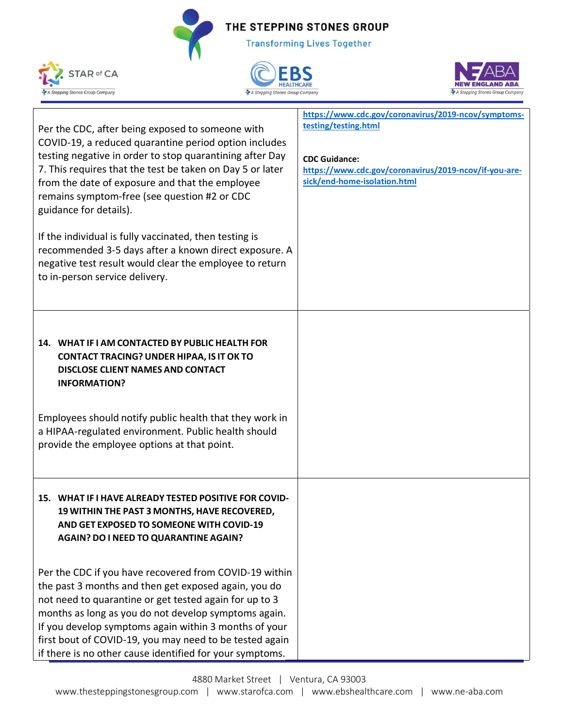





| Per the CDC, after being exposed to someone with<br>COVID-19, a reduced quarantine period option includes<br>testing negative in order to stop quarantining after Day<br>7. This requires that the test be taken on Day 5 or later<br>from the date of exposure and that the employee<br>remains symptom-free (see question #2 or CDC<br>guidance for details).<br>If the individual is fully vaccinated, then testing is<br>recommended 3-5 days after a known direct exposure. A<br>negative test result would clear the employee to return<br>to in-person service delivery. | https://www.cdc.gov/coronavirus/2019-ncov/symptoms-<br>testing/testing.html<br><b>CDC Guidance:</b><br>https://www.cdc.gov/coronavirus/2019-ncov/if-you-are-<br>sick/end-home-isolation.html |
|---------------------------------------------------------------------------------------------------------------------------------------------------------------------------------------------------------------------------------------------------------------------------------------------------------------------------------------------------------------------------------------------------------------------------------------------------------------------------------------------------------------------------------------------------------------------------------|----------------------------------------------------------------------------------------------------------------------------------------------------------------------------------------------|
| 14. WHAT IF I AM CONTACTED BY PUBLIC HEALTH FOR<br><b>CONTACT TRACING? UNDER HIPAA, IS IT OK TO</b><br><b>DISCLOSE CLIENT NAMES AND CONTACT</b><br><b>INFORMATION?</b><br>Employees should notify public health that they work in<br>a HIPAA-regulated environment. Public health should<br>provide the employee options at that point.                                                                                                                                                                                                                                         |                                                                                                                                                                                              |
| 15. WHAT IF I HAVE ALREADY TESTED POSITIVE FOR COVID-<br>19 WITHIN THE PAST 3 MONTHS, HAVE RECOVERED,<br>AND GET EXPOSED TO SOMEONE WITH COVID-19<br>AGAIN? DO I NEED TO QUARANTINE AGAIN?                                                                                                                                                                                                                                                                                                                                                                                      |                                                                                                                                                                                              |
| Per the CDC if you have recovered from COVID-19 within<br>the past 3 months and then get exposed again, you do<br>not need to quarantine or get tested again for up to 3<br>months as long as you do not develop symptoms again.<br>If you develop symptoms again within 3 months of your<br>first bout of COVID-19, you may need to be tested again<br>if there is no other cause identified for your symptoms.                                                                                                                                                                |                                                                                                                                                                                              |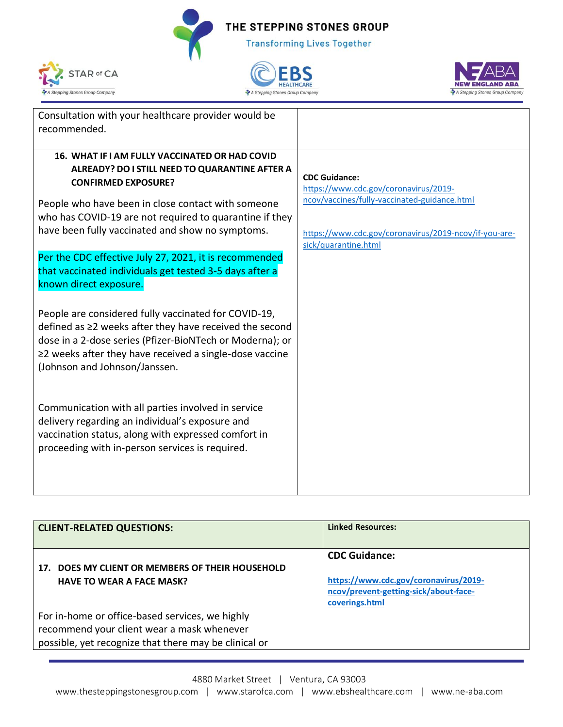





| Consultation with your healthcare provider would be                                                   |                                                                                       |
|-------------------------------------------------------------------------------------------------------|---------------------------------------------------------------------------------------|
| recommended.                                                                                          |                                                                                       |
| 16. WHAT IF I AM FULLY VACCINATED OR HAD COVID                                                        |                                                                                       |
| ALREADY? DO I STILL NEED TO QUARANTINE AFTER A                                                        |                                                                                       |
| <b>CONFIRMED EXPOSURE?</b>                                                                            | <b>CDC Guidance:</b>                                                                  |
|                                                                                                       | https://www.cdc.gov/coronavirus/2019-<br>ncov/vaccines/fully-vaccinated-guidance.html |
| People who have been in close contact with someone                                                    |                                                                                       |
| who has COVID-19 are not required to quarantine if they                                               |                                                                                       |
| have been fully vaccinated and show no symptoms.                                                      | https://www.cdc.gov/coronavirus/2019-ncov/if-you-are-                                 |
| Per the CDC effective July 27, 2021, it is recommended                                                | sick/quarantine.html                                                                  |
| that vaccinated individuals get tested 3-5 days after a                                               |                                                                                       |
| known direct exposure.                                                                                |                                                                                       |
|                                                                                                       |                                                                                       |
| People are considered fully vaccinated for COVID-19,                                                  |                                                                                       |
| defined as $\geq$ weeks after they have received the second                                           |                                                                                       |
| dose in a 2-dose series (Pfizer-BioNTech or Moderna); or                                              |                                                                                       |
| $\geq$ 2 weeks after they have received a single-dose vaccine                                         |                                                                                       |
| (Johnson and Johnson/Janssen.                                                                         |                                                                                       |
|                                                                                                       |                                                                                       |
|                                                                                                       |                                                                                       |
| Communication with all parties involved in service<br>delivery regarding an individual's exposure and |                                                                                       |
| vaccination status, along with expressed comfort in                                                   |                                                                                       |
| proceeding with in-person services is required.                                                       |                                                                                       |
|                                                                                                       |                                                                                       |
|                                                                                                       |                                                                                       |
|                                                                                                       |                                                                                       |

| <b>CLIENT-RELATED QUESTIONS:</b>                                                                                                                       | <b>Linked Resources:</b>                                                                                                 |
|--------------------------------------------------------------------------------------------------------------------------------------------------------|--------------------------------------------------------------------------------------------------------------------------|
| DOES MY CLIENT OR MEMBERS OF THEIR HOUSEHOLD<br>17.<br><b>HAVE TO WEAR A FACE MASK?</b>                                                                | <b>CDC Guidance:</b><br>https://www.cdc.gov/coronavirus/2019-<br>ncov/prevent-getting-sick/about-face-<br>coverings.html |
| For in-home or office-based services, we highly<br>recommend your client wear a mask whenever<br>possible, yet recognize that there may be clinical or |                                                                                                                          |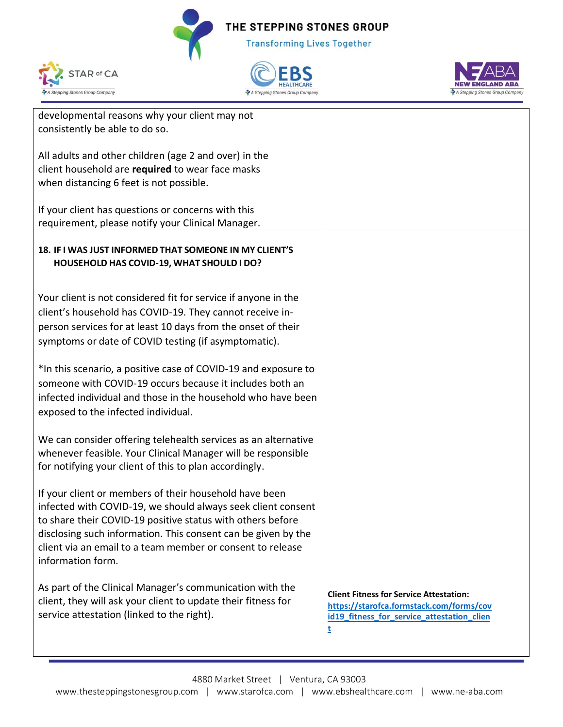





| developmental reasons why your client may not                  |                                                |
|----------------------------------------------------------------|------------------------------------------------|
| consistently be able to do so.                                 |                                                |
|                                                                |                                                |
| All adults and other children (age 2 and over) in the          |                                                |
|                                                                |                                                |
| client household are required to wear face masks               |                                                |
| when distancing 6 feet is not possible.                        |                                                |
|                                                                |                                                |
|                                                                |                                                |
| If your client has questions or concerns with this             |                                                |
| requirement, please notify your Clinical Manager.              |                                                |
|                                                                |                                                |
| 18. IF I WAS JUST INFORMED THAT SOMEONE IN MY CLIENT'S         |                                                |
|                                                                |                                                |
| HOUSEHOLD HAS COVID-19, WHAT SHOULD I DO?                      |                                                |
|                                                                |                                                |
|                                                                |                                                |
| Your client is not considered fit for service if anyone in the |                                                |
| client's household has COVID-19. They cannot receive in-       |                                                |
|                                                                |                                                |
| person services for at least 10 days from the onset of their   |                                                |
| symptoms or date of COVID testing (if asymptomatic).           |                                                |
|                                                                |                                                |
| *In this scenario, a positive case of COVID-19 and exposure to |                                                |
|                                                                |                                                |
| someone with COVID-19 occurs because it includes both an       |                                                |
| infected individual and those in the household who have been   |                                                |
|                                                                |                                                |
| exposed to the infected individual.                            |                                                |
|                                                                |                                                |
| We can consider offering telehealth services as an alternative |                                                |
| whenever feasible. Your Clinical Manager will be responsible   |                                                |
|                                                                |                                                |
| for notifying your client of this to plan accordingly.         |                                                |
|                                                                |                                                |
| If your client or members of their household have been         |                                                |
| infected with COVID-19, we should always seek client consent   |                                                |
|                                                                |                                                |
| to share their COVID-19 positive status with others before     |                                                |
| disclosing such information. This consent can be given by the  |                                                |
| client via an email to a team member or consent to release     |                                                |
| information form.                                              |                                                |
|                                                                |                                                |
|                                                                |                                                |
| As part of the Clinical Manager's communication with the       | <b>Client Fitness for Service Attestation:</b> |
| client, they will ask your client to update their fitness for  |                                                |
| service attestation (linked to the right).                     | https://starofca.formstack.com/forms/cov       |
|                                                                | id19 fitness for service attestation clien     |
|                                                                | <u>t</u>                                       |
|                                                                |                                                |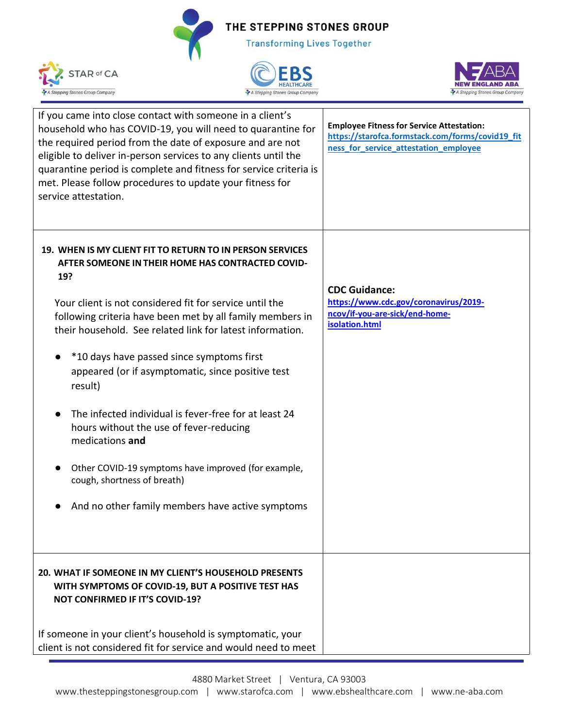





| If you came into close contact with someone in a client's<br>household who has COVID-19, you will need to quarantine for<br>the required period from the date of exposure and are not<br>eligible to deliver in-person services to any clients until the<br>quarantine period is complete and fitness for service criteria is<br>met. Please follow procedures to update your fitness for<br>service attestation. | <b>Employee Fitness for Service Attestation:</b><br>https://starofca.formstack.com/forms/covid19_fit<br>ness_for_service_attestation_employee |
|-------------------------------------------------------------------------------------------------------------------------------------------------------------------------------------------------------------------------------------------------------------------------------------------------------------------------------------------------------------------------------------------------------------------|-----------------------------------------------------------------------------------------------------------------------------------------------|
| 19. WHEN IS MY CLIENT FIT TO RETURN TO IN PERSON SERVICES<br>AFTER SOMEONE IN THEIR HOME HAS CONTRACTED COVID-<br>19?                                                                                                                                                                                                                                                                                             |                                                                                                                                               |
| Your client is not considered fit for service until the<br>following criteria have been met by all family members in<br>their household. See related link for latest information.                                                                                                                                                                                                                                 | <b>CDC Guidance:</b><br>https://www.cdc.gov/coronavirus/2019-<br>ncov/if-you-are-sick/end-home-<br>isolation.html                             |
| *10 days have passed since symptoms first<br>appeared (or if asymptomatic, since positive test<br>result)                                                                                                                                                                                                                                                                                                         |                                                                                                                                               |
| The infected individual is fever-free for at least 24<br>hours without the use of fever-reducing<br>medications and                                                                                                                                                                                                                                                                                               |                                                                                                                                               |
| Other COVID-19 symptoms have improved (for example,<br>$\bullet$<br>cough, shortness of breath)                                                                                                                                                                                                                                                                                                                   |                                                                                                                                               |
| And no other family members have active symptoms                                                                                                                                                                                                                                                                                                                                                                  |                                                                                                                                               |
| 20. WHAT IF SOMEONE IN MY CLIENT'S HOUSEHOLD PRESENTS<br>WITH SYMPTOMS OF COVID-19, BUT A POSITIVE TEST HAS<br><b>NOT CONFIRMED IF IT'S COVID-19?</b>                                                                                                                                                                                                                                                             |                                                                                                                                               |
| If someone in your client's household is symptomatic, your<br>client is not considered fit for service and would need to meet                                                                                                                                                                                                                                                                                     |                                                                                                                                               |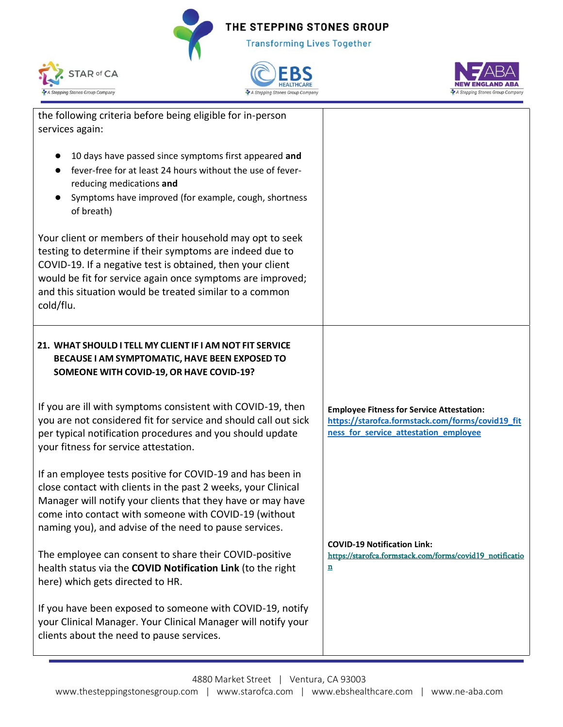





| the following criteria before being eligible for in-person<br>services again:                                                                                                                                                                                                                                             |                                                                                                                                               |
|---------------------------------------------------------------------------------------------------------------------------------------------------------------------------------------------------------------------------------------------------------------------------------------------------------------------------|-----------------------------------------------------------------------------------------------------------------------------------------------|
| 10 days have passed since symptoms first appeared and<br>fever-free for at least 24 hours without the use of fever-<br>reducing medications and<br>Symptoms have improved (for example, cough, shortness<br>of breath)                                                                                                    |                                                                                                                                               |
| Your client or members of their household may opt to seek<br>testing to determine if their symptoms are indeed due to<br>COVID-19. If a negative test is obtained, then your client<br>would be fit for service again once symptoms are improved;<br>and this situation would be treated similar to a common<br>cold/flu. |                                                                                                                                               |
| 21. WHAT SHOULD I TELL MY CLIENT IF I AM NOT FIT SERVICE<br>BECAUSE I AM SYMPTOMATIC, HAVE BEEN EXPOSED TO<br>SOMEONE WITH COVID-19, OR HAVE COVID-19?                                                                                                                                                                    |                                                                                                                                               |
| If you are ill with symptoms consistent with COVID-19, then<br>you are not considered fit for service and should call out sick<br>per typical notification procedures and you should update<br>your fitness for service attestation.                                                                                      | <b>Employee Fitness for Service Attestation:</b><br>https://starofca.formstack.com/forms/covid19_fit<br>ness_for_service_attestation_employee |
| If an employee tests positive for COVID-19 and has been in<br>close contact with clients in the past 2 weeks, your Clinical<br>Manager will notify your clients that they have or may have<br>come into contact with someone with COVID-19 (without<br>naming you), and advise of the need to pause services.             |                                                                                                                                               |
| The employee can consent to share their COVID-positive<br>health status via the COVID Notification Link (to the right<br>here) which gets directed to HR.                                                                                                                                                                 | <b>COVID-19 Notification Link:</b><br>https://starofca.formstack.com/forms/covid19_notificatio<br>n                                           |
| If you have been exposed to someone with COVID-19, notify<br>your Clinical Manager. Your Clinical Manager will notify your<br>clients about the need to pause services.                                                                                                                                                   |                                                                                                                                               |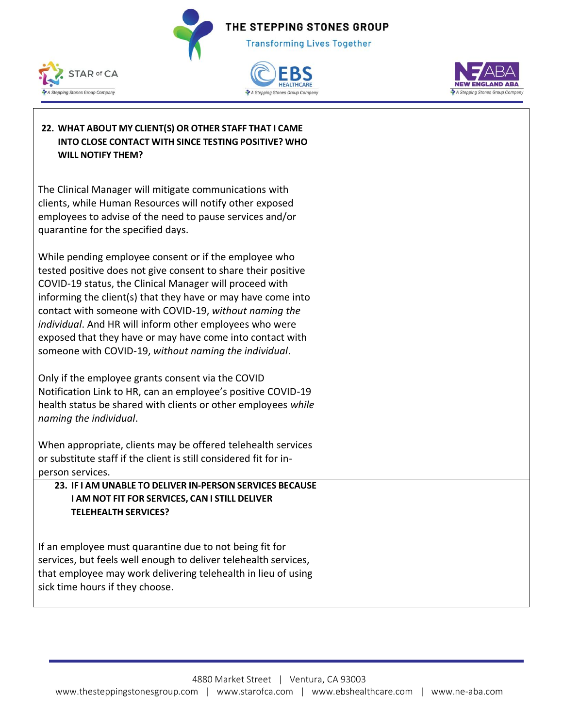





| 22. WHAT ABOUT MY CLIENT(S) OR OTHER STAFF THAT I CAME<br>INTO CLOSE CONTACT WITH SINCE TESTING POSITIVE? WHO<br><b>WILL NOTIFY THEM?</b>                                                                                                                                                                                                                                                                                                                                                    |
|----------------------------------------------------------------------------------------------------------------------------------------------------------------------------------------------------------------------------------------------------------------------------------------------------------------------------------------------------------------------------------------------------------------------------------------------------------------------------------------------|
| The Clinical Manager will mitigate communications with<br>clients, while Human Resources will notify other exposed<br>employees to advise of the need to pause services and/or<br>quarantine for the specified days.                                                                                                                                                                                                                                                                         |
| While pending employee consent or if the employee who<br>tested positive does not give consent to share their positive<br>COVID-19 status, the Clinical Manager will proceed with<br>informing the client(s) that they have or may have come into<br>contact with someone with COVID-19, without naming the<br>individual. And HR will inform other employees who were<br>exposed that they have or may have come into contact with<br>someone with COVID-19, without naming the individual. |
| Only if the employee grants consent via the COVID<br>Notification Link to HR, can an employee's positive COVID-19<br>health status be shared with clients or other employees while<br>naming the individual.                                                                                                                                                                                                                                                                                 |
| When appropriate, clients may be offered telehealth services<br>or substitute staff if the client is still considered fit for in-<br>person services.                                                                                                                                                                                                                                                                                                                                        |
| 23. IF I AM UNABLE TO DELIVER IN-PERSON SERVICES BECAUSE                                                                                                                                                                                                                                                                                                                                                                                                                                     |
| I AM NOT FIT FOR SERVICES, CAN I STILL DELIVER<br><b>TELEHEALTH SERVICES?</b>                                                                                                                                                                                                                                                                                                                                                                                                                |
|                                                                                                                                                                                                                                                                                                                                                                                                                                                                                              |
| If an employee must quarantine due to not being fit for<br>services, but feels well enough to deliver telehealth services,<br>that employee may work delivering telehealth in lieu of using<br>sick time hours if they choose.                                                                                                                                                                                                                                                               |